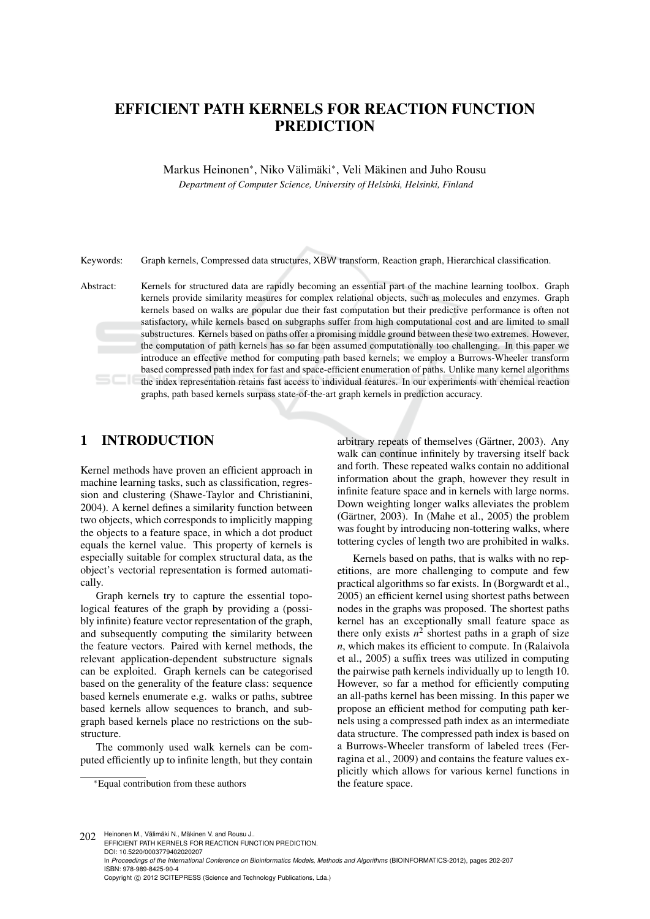# EFFICIENT PATH KERNELS FOR REACTION FUNCTION PREDICTION

Markus Heinonen<sup>∗</sup>, Niko Välimäki<sup>∗</sup>, Veli Mäkinen and Juho Rousu

*Department of Computer Science, University of Helsinki, Helsinki, Finland*

Keywords: Graph kernels, Compressed data structures, XBW transform, Reaction graph, Hierarchical classification.

Abstract: Kernels for structured data are rapidly becoming an essential part of the machine learning toolbox. Graph kernels provide similarity measures for complex relational objects, such as molecules and enzymes. Graph kernels based on walks are popular due their fast computation but their predictive performance is often not satisfactory, while kernels based on subgraphs suffer from high computational cost and are limited to small substructures. Kernels based on paths offer a promising middle ground between these two extremes. However, the computation of path kernels has so far been assumed computationally too challenging. In this paper we introduce an effective method for computing path based kernels; we employ a Burrows-Wheeler transform based compressed path index for fast and space-efficient enumeration of paths. Unlike many kernel algorithms the index representation retains fast access to individual features. In our experiments with chemical reaction graphs, path based kernels surpass state-of-the-art graph kernels in prediction accuracy.

## 1 INTRODUCTION

Kernel methods have proven an efficient approach in machine learning tasks, such as classification, regression and clustering (Shawe-Taylor and Christianini, 2004). A kernel defines a similarity function between two objects, which corresponds to implicitly mapping the objects to a feature space, in which a dot product equals the kernel value. This property of kernels is especially suitable for complex structural data, as the object's vectorial representation is formed automatically.

Graph kernels try to capture the essential topological features of the graph by providing a (possibly infinite) feature vector representation of the graph, and subsequently computing the similarity between the feature vectors. Paired with kernel methods, the relevant application-dependent substructure signals can be exploited. Graph kernels can be categorised based on the generality of the feature class: sequence based kernels enumerate e.g. walks or paths, subtree based kernels allow sequences to branch, and subgraph based kernels place no restrictions on the substructure.

The commonly used walk kernels can be computed efficiently up to infinite length, but they contain

<sup>∗</sup>Equal contribution from these authors

arbitrary repeats of themselves (Gärtner, 2003). Any walk can continue infinitely by traversing itself back and forth. These repeated walks contain no additional information about the graph, however they result in infinite feature space and in kernels with large norms. Down weighting longer walks alleviates the problem (Gärtner, 2003). In (Mahe et al., 2005) the problem was fought by introducing non-tottering walks, where tottering cycles of length two are prohibited in walks.

Kernels based on paths, that is walks with no repetitions, are more challenging to compute and few practical algorithms so far exists. In (Borgwardt et al., 2005) an efficient kernel using shortest paths between nodes in the graphs was proposed. The shortest paths kernel has an exceptionally small feature space as there only exists  $n^2$  shortest paths in a graph of size *n*, which makes its efficient to compute. In (Ralaivola et al., 2005) a suffix trees was utilized in computing the pairwise path kernels individually up to length 10. However, so far a method for efficiently computing an all-paths kernel has been missing. In this paper we propose an efficient method for computing path kernels using a compressed path index as an intermediate data structure. The compressed path index is based on a Burrows-Wheeler transform of labeled trees (Ferragina et al., 2009) and contains the feature values explicitly which allows for various kernel functions in the feature space.

202 Heinonen M., Välimäki N., Mäkinen V. and Rousu J. EFFICIENT PATH KERNELS FOR REACTION FUNCTION PREDICTION. DOI: 10.5220/0003779402020207 In *Proceedings of the International Conference on Bioinformatics Models, Methods and Algorithms* (BIOINFORMATICS-2012), pages 202-207 ISBN: 978-989-8425-90-4 Copyright © 2012 SCITEPRESS (Science and Technology Publications, Lda.)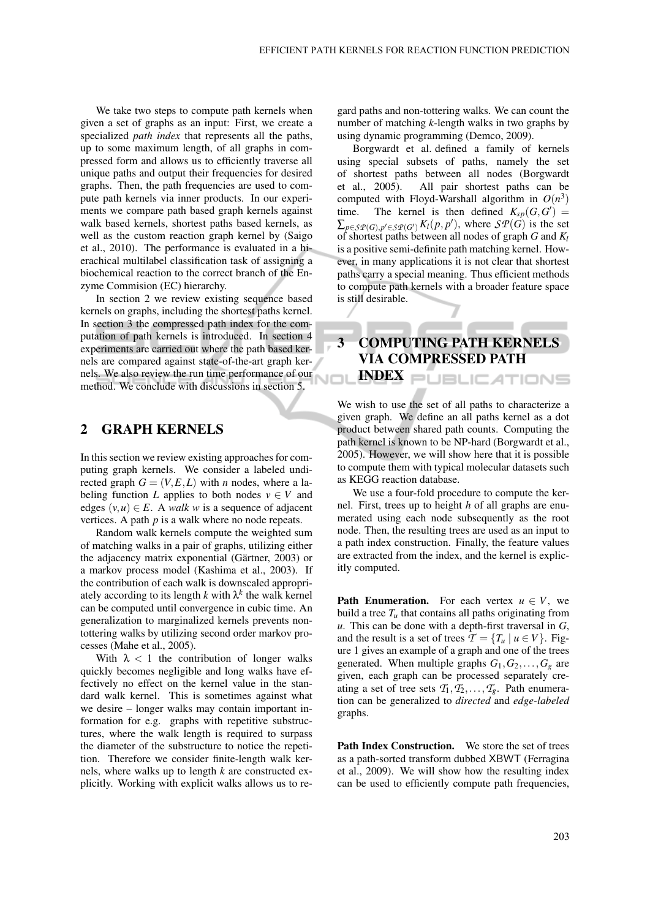We take two steps to compute path kernels when given a set of graphs as an input: First, we create a specialized *path index* that represents all the paths, up to some maximum length, of all graphs in compressed form and allows us to efficiently traverse all unique paths and output their frequencies for desired graphs. Then, the path frequencies are used to compute path kernels via inner products. In our experiments we compare path based graph kernels against walk based kernels, shortest paths based kernels, as well as the custom reaction graph kernel by (Saigo et al., 2010). The performance is evaluated in a hierachical multilabel classification task of assigning a biochemical reaction to the correct branch of the Enzyme Commision (EC) hierarchy.

In section 2 we review existing sequence based kernels on graphs, including the shortest paths kernel. In section 3 the compressed path index for the computation of path kernels is introduced. In section 4 experiments are carried out where the path based kernels are compared against state-of-the-art graph kernels. We also review the run time performance of our method. We conclude with discussions in section 5.

#### 2 GRAPH KERNELS

In this section we review existing approaches for computing graph kernels. We consider a labeled undirected graph  $G = (V, E, L)$  with *n* nodes, where a labeling function *L* applies to both nodes  $v \in V$  and edges  $(v, u) \in E$ . A *walk w* is a sequence of adjacent vertices. A path *p* is a walk where no node repeats.

Random walk kernels compute the weighted sum of matching walks in a pair of graphs, utilizing either the adjacency matrix exponential (Gärtner, 2003) or a markov process model (Kashima et al., 2003). If the contribution of each walk is downscaled appropriately according to its length  $k$  with  $\lambda^k$  the walk kernel can be computed until convergence in cubic time. An generalization to marginalized kernels prevents nontottering walks by utilizing second order markov processes (Mahe et al., 2005).

With  $\lambda$  < 1 the contribution of longer walks quickly becomes negligible and long walks have effectively no effect on the kernel value in the standard walk kernel. This is sometimes against what we desire – longer walks may contain important information for e.g. graphs with repetitive substructures, where the walk length is required to surpass the diameter of the substructure to notice the repetition. Therefore we consider finite-length walk kernels, where walks up to length *k* are constructed explicitly. Working with explicit walks allows us to regard paths and non-tottering walks. We can count the number of matching *k*-length walks in two graphs by using dynamic programming (Demco, 2009).

Borgwardt et al. defined a family of kernels using special subsets of paths, namely the set of shortest paths between all nodes (Borgwardt et al., 2005). All pair shortest paths can be computed with Floyd-Warshall algorithm in  $O(n^3)$ time. The kernel is then defined  $K_{sp}(G, G') =$  $\sum_{p \in \mathcal{SP}(G), p' \in \mathcal{SP}(G')} K_l(p, p')$ , where  $\mathcal{SP}(G)$  is the set of shortest paths between all nodes of graph *G* and *K<sup>l</sup>* is a positive semi-definite path matching kernel. However, in many applications it is not clear that shortest paths carry a special meaning. Thus efficient methods to compute path kernels with a broader feature space is still desirable.

# 3 COMPUTING PATH KERNELS VIA COMPRESSED PATH **INDEX** PUBLICATIONS

We wish to use the set of all paths to characterize a given graph. We define an all paths kernel as a dot product between shared path counts. Computing the path kernel is known to be NP-hard (Borgwardt et al., 2005). However, we will show here that it is possible to compute them with typical molecular datasets such as KEGG reaction database.

We use a four-fold procedure to compute the kernel. First, trees up to height *h* of all graphs are enumerated using each node subsequently as the root node. Then, the resulting trees are used as an input to a path index construction. Finally, the feature values are extracted from the index, and the kernel is explicitly computed.

**Path Enumeration.** For each vertex  $u \in V$ , we build a tree  $T<sub>u</sub>$  that contains all paths originating from *u*. This can be done with a depth-first traversal in *G*, and the result is a set of trees  $\mathcal{T} = \{T_u \mid u \in V\}$ . Figure 1 gives an example of a graph and one of the trees generated. When multiple graphs  $G_1, G_2, \ldots, G_\varrho$  are given, each graph can be processed separately creating a set of tree sets  $T_1, T_2, \ldots, T_g$ . Path enumeration can be generalized to *directed* and *edge-labeled* graphs.

Path Index Construction. We store the set of trees as a path-sorted transform dubbed XBWT (Ferragina et al., 2009). We will show how the resulting index can be used to efficiently compute path frequencies,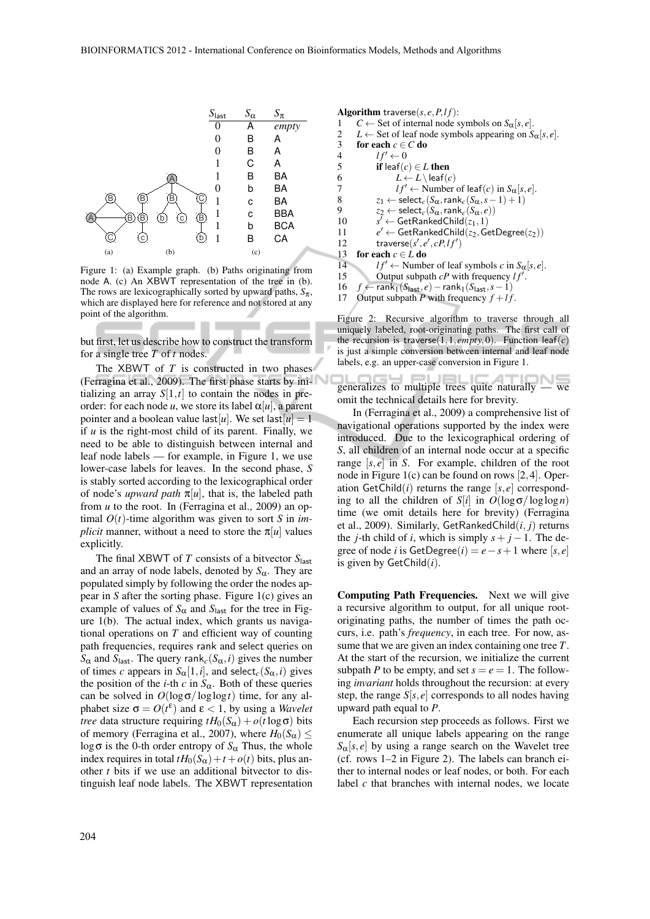

Figure 1: (a) Example graph. (b) Paths originating from node A. (c) An XBWT representation of the tree in (b). The rows are lexicographically sorted by upward paths,  $S_{\pi}$ , which are displayed here for reference and not stored at any point of the algorithm.

but first, let us describe how to construct the transform for a single tree *T* of *t* nodes.

The XBWT of *T* is constructed in two phases (Ferragina et al., 2009). The first phase starts by initializing an array  $S[1,t]$  to contain the nodes in preorder: for each node *u*, we store its label  $\alpha[u]$ , a parent pointer and a boolean value last [u]. We set last  $[u] = 1$ if *u* is the right-most child of its parent. Finally, we need to be able to distinguish between internal and leaf node labels — for example, in Figure 1, we use lower-case labels for leaves. In the second phase, *S* is stably sorted according to the lexicographical order of node's *upward path*  $\pi[u]$ , that is, the labeled path from *u* to the root. In (Ferragina et al., 2009) an optimal  $O(t)$ -time algorithm was given to sort *S* in *implicit* manner, without a need to store the  $\pi[u]$  values explicitly.

The final XBWT of *T* consists of a bitvector *S*last and an array of node labels, denoted by  $S_\alpha$ . They are populated simply by following the order the nodes appear in *S* after the sorting phase. Figure 1(c) gives an example of values of  $S_{\alpha}$  and  $S_{\text{last}}$  for the tree in Figure 1(b). The actual index, which grants us navigational operations on *T* and efficient way of counting path frequencies, requires rank and select queries on *S*<sub>α</sub> and *S*<sub>last</sub>. The query rank<sub>*c*</sub>(*S*<sub>α</sub>,*i*) gives the number of times *c* appears in  $S_{\alpha}[1, i]$ , and select<sub>*c*</sub>( $S_{\alpha}, i$ ) gives the position of the *i*-th *c* in  $S_\alpha$ . Both of these queries can be solved in  $O(\log \sigma / \log \log t)$  time, for any alphabet size  $\sigma = O(t^{\varepsilon})$  and  $\varepsilon < 1$ , by using a *Wavelet tree* data structure requiring  $tH_0(S_\alpha) + o(t \log \sigma)$  bits of memory (Ferragina et al., 2007), where  $H_0(S_\alpha) \leq$ log  $\sigma$  is the 0-th order entropy of  $S_\alpha$  Thus, the whole index requires in total  $tH_0(S_\alpha)+t+o(t)$  bits, plus another *t* bits if we use an additional bitvector to distinguish leaf node labels. The XBWT representation

Algorithm traverse( $s, e, P, l f$ ): 1 *C* ← Set of internal node symbols on  $S_\alpha[s, e]$ .<br>2 *L* ← Set of leaf node symbols appearing on *S* 2 *L* ← Set of leaf node symbols appearing on  $S_\alpha[s, e]$ .<br>3 **for each**  $c \in C$  **do** for each  $c \in C$  do 4  $lf' \leftarrow 0$ <br>5 **if** leaf(c) 5 **if** leaf(*c*)  $\in$  *L* then<br>6  $L \leftarrow L \setminus \text{leaf}(c)$ 6  $L \leftarrow L \leq f(c)$ <br>7  $lf' \leftarrow \text{Number}$ 7  $lf' \leftarrow$  Number of leaf(*c*) in  $S_\alpha[s, e]$ .<br>8  $z_1 \leftarrow \text{select}_c(S_\alpha, \text{rank}_c(S_\alpha, s-1) + 1)$ 8  $z_1 \leftarrow \text{select}_c(S_\alpha, \text{rank}_c(S_\alpha, s-1) + 1)$ <br>9  $z_2 \leftarrow \text{select}_c(S_\alpha, \text{rank}_c(S_\alpha, e))$  $z_2 \leftarrow \textsf{select}_c(S_\alpha,\textsf{rank}_c(S_\alpha,e))$ 10 *s*  $s' \leftarrow \mathsf{GetRankedChild}(z_1,1)$ 11 *e*  $e' \leftarrow$  GetRankedChild( $z_2$ , GetDegree( $z_2$ )) 12 traverse( $s', e', cP, l f'$ ) 13 **for each**  $c \in L$  **do** 14  $\qquad \qquad lf' \leftarrow$  Number of leaf symbols *c* in  $S_{\alpha}[s, e]$ .<br>15 Output subpath *cP* with frequency  $lf'$ . 15 Output subpath  $cP$  with frequency  $lf'$ . 16 *f* ← rank<sub>1</sub>( $S$ <sub>last</sub>,*e*) – rank<sub>1</sub>( $S$ <sub>last</sub>,*s* – 1)

17 Output subpath *P* with frequency  $f + l f$ .

Figure 2: Recursive algorithm to traverse through all uniquely labeled, root-originating paths. The first call of the recursion is traverse $(1,1,empty,0)$ . Function leaf $(c)$ is just a simple conversion between internal and leaf node labels, e.g. an upper-case conversion in Figure 1.

generalizes to multiple trees quite naturally  $-$  we omit the technical details here for brevity.

In (Ferragina et al., 2009) a comprehensive list of navigational operations supported by the index were introduced. Due to the lexicographical ordering of *S*, all children of an internal node occur at a specific range [*s*, *e*] in *S*. For example, children of the root node in Figure 1(c) can be found on rows [2,4]. Operation  $\text{GetChild}(i)$  returns the range  $[s, e]$  corresponding to all the children of *S*[*i*] in  $O(\log \sigma / \log \log n)$ time (we omit details here for brevity) (Ferragina et al., 2009). Similarly, GetRankedChild(*i*, *j*) returns the *j*-th child of *i*, which is simply  $s + j - 1$ . The degree of node *i* is GetDegree(*i*) =  $e - s + 1$  where [*s*,  $e$ ] is given by GetChild(*i*).

Computing Path Frequencies. Next we will give a recursive algorithm to output, for all unique rootoriginating paths, the number of times the path occurs, i.e. path's *frequency*, in each tree. For now, assume that we are given an index containing one tree *T*. At the start of the recursion, we initialize the current subpath *P* to be empty, and set  $s = e = 1$ . The following *invariant* holds throughout the recursion: at every step, the range  $S[s, e]$  corresponds to all nodes having upward path equal to *P*.

Each recursion step proceeds as follows. First we enumerate all unique labels appearing on the range  $S_{\alpha}[s, e]$  by using a range search on the Wavelet tree (cf. rows 1–2 in Figure 2). The labels can branch either to internal nodes or leaf nodes, or both. For each label *c* that branches with internal nodes, we locate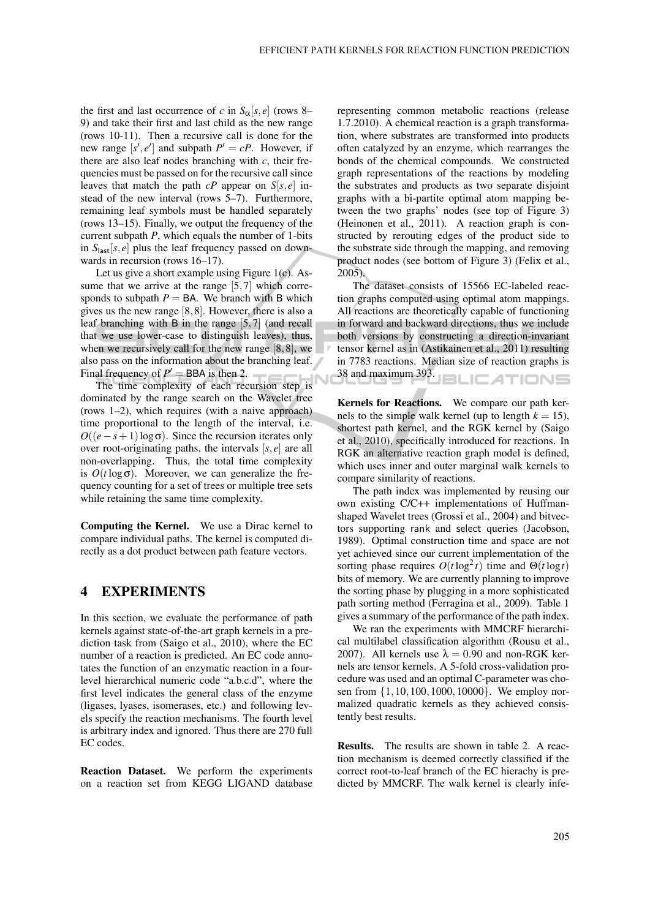the first and last occurrence of *c* in  $S_\alpha[s, e]$  (rows 8– 9) and take their first and last child as the new range (rows 10-11). Then a recursive call is done for the new range  $[s', e']$  and subpath  $P' = cP$ . However, if there are also leaf nodes branching with *c*, their frequencies must be passed on for the recursive call since leaves that match the path  $cP$  appear on  $S[s, e]$  instead of the new interval (rows 5–7). Furthermore, remaining leaf symbols must be handled separately (rows 13–15). Finally, we output the frequency of the current subpath *P*, which equals the number of 1-bits in  $S<sub>last</sub>[s, e]$  plus the leaf frequency passed on downwards in recursion (rows 16–17).

Let us give a short example using Figure 1(c). Assume that we arrive at the range  $[5,7]$  which corresponds to subpath  $P = BA$ . We branch with B which gives us the new range [8,8]. However, there is also a leaf branching with B in the range [5,7] (and recall that we use lower-case to distinguish leaves), thus, when we recursively call for the new range [8,8], we also pass on the information about the branching leaf. Final frequency of  $P' =$  BBA is then 2.

The time complexity of each recursion step is dominated by the range search on the Wavelet tree (rows 1–2), which requires (with a naive approach) time proportional to the length of the interval, i.e.  $O((e-s+1)\log \sigma)$ . Since the recursion iterates only over root-originating paths, the intervals [*s*, *e*] are all non-overlapping. Thus, the total time complexity is  $O(t \log \sigma)$ . Moreover, we can generalize the frequency counting for a set of trees or multiple tree sets while retaining the same time complexity.

Computing the Kernel. We use a Dirac kernel to compare individual paths. The kernel is computed directly as a dot product between path feature vectors.

### 4 EXPERIMENTS

In this section, we evaluate the performance of path kernels against state-of-the-art graph kernels in a prediction task from (Saigo et al., 2010), where the EC number of a reaction is predicted. An EC code annotates the function of an enzymatic reaction in a fourlevel hierarchical numeric code "a.b.c.d", where the first level indicates the general class of the enzyme (ligases, lyases, isomerases, etc.) and following levels specify the reaction mechanisms. The fourth level is arbitrary index and ignored. Thus there are 270 full EC codes.

Reaction Dataset. We perform the experiments on a reaction set from KEGG LIGAND database representing common metabolic reactions (release 1.7.2010). A chemical reaction is a graph transformation, where substrates are transformed into products often catalyzed by an enzyme, which rearranges the bonds of the chemical compounds. We constructed graph representations of the reactions by modeling the substrates and products as two separate disjoint graphs with a bi-partite optimal atom mapping between the two graphs' nodes (see top of Figure 3) (Heinonen et al., 2011). A reaction graph is constructed by rerouting edges of the product side to the substrate side through the mapping, and removing product nodes (see bottom of Figure 3) (Felix et al., 2005).

The dataset consists of 15566 EC-labeled reaction graphs computed using optimal atom mappings. All reactions are theoretically capable of functioning in forward and backward directions, thus we include both versions by constructing a direction-invariant tensor kernel as in (Astikainen et al., 2011) resulting in 7783 reactions. Median size of reaction graphs is  $38$  and maximum 393.

Kernels for Reactions. We compare our path kernels to the simple walk kernel (up to length  $k = 15$ ), shortest path kernel, and the RGK kernel by (Saigo et al., 2010), specifically introduced for reactions. In RGK an alternative reaction graph model is defined, which uses inner and outer marginal walk kernels to compare similarity of reactions.

The path index was implemented by reusing our own existing C/C++ implementations of Huffmanshaped Wavelet trees (Grossi et al., 2004) and bitvectors supporting rank and select queries (Jacobson, 1989). Optimal construction time and space are not yet achieved since our current implementation of the sorting phase requires  $O(t \log^2 t)$  time and  $\Theta(t \log t)$ bits of memory. We are currently planning to improve the sorting phase by plugging in a more sophisticated path sorting method (Ferragina et al., 2009). Table 1 gives a summary of the performance of the path index.

We ran the experiments with MMCRF hierarchical multilabel classification algorithm (Rousu et al., 2007). All kernels use  $\lambda = 0.90$  and non-RGK kernels are tensor kernels. A 5-fold cross-validation procedure was used and an optimal C-parameter was chosen from {1,10,100,1000,10000}. We employ normalized quadratic kernels as they achieved consistently best results.

Results. The results are shown in table 2. A reaction mechanism is deemed correctly classified if the correct root-to-leaf branch of the EC hierachy is predicted by MMCRF. The walk kernel is clearly infe-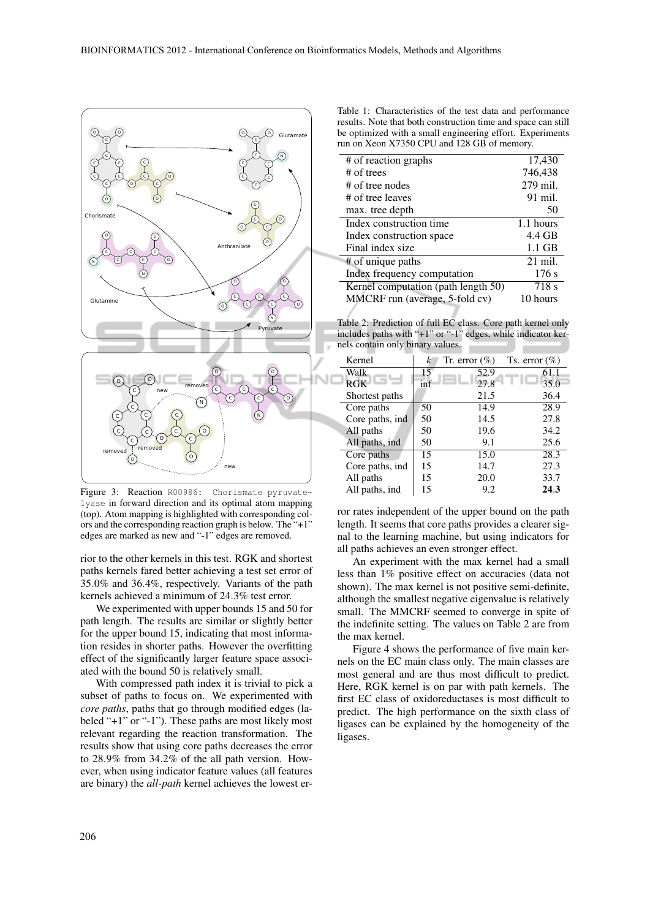

Figure 3: Reaction R00986: Chorismate pyruvatelyase in forward direction and its optimal atom mapping (top). Atom mapping is highlighted with corresponding colors and the corresponding reaction graph is below. The "+1" edges are marked as new and "-1" edges are removed.

rior to the other kernels in this test. RGK and shortest paths kernels fared better achieving a test set error of 35.0% and 36.4%, respectively. Variants of the path kernels achieved a minimum of 24.3% test error.

We experimented with upper bounds 15 and 50 for path length. The results are similar or slightly better for the upper bound 15, indicating that most information resides in shorter paths. However the overfitting effect of the significantly larger feature space associated with the bound 50 is relatively small.

With compressed path index it is trivial to pick a subset of paths to focus on. We experimented with *core paths*, paths that go through modified edges (labeled "+1" or "-1"). These paths are most likely most relevant regarding the reaction transformation. The results show that using core paths decreases the error to 28.9% from 34.2% of the all path version. However, when using indicator feature values (all features are binary) the *all-path* kernel achieves the lowest er-

Table 1: Characteristics of the test data and performance results. Note that both construction time and space can still be optimized with a small engineering effort. Experiments run on Xeon X7350 CPU and 128 GB of memory.

| # of reaction graphs                | 17,430    |
|-------------------------------------|-----------|
| # of trees                          | 746,438   |
| # of tree nodes                     | 279 mil.  |
| # of tree leaves                    | 91 mil.   |
| max. tree depth                     | 50        |
| Index construction time             | 1.1 hours |
| Index construction space            | 4.4 GB    |
| Final index size                    | $1.1$ GB  |
| # of unique paths                   | $21$ mil. |
| Index frequency computation         | 176 s     |
| Kernel computation (path length 50) | 718 s     |
| MMCRF run (average, 5-fold cv)      | 10 hours  |
|                                     |           |

Table 2: Prediction of full EC class. Core path kernel only includes paths with "+1" or "-1" edges, while indicator kernels contain only binary values.

| k   | Tr. error $(\%)$ | Ts. error $(\% )$ |
|-----|------------------|-------------------|
| 15  | 52.9             | 61.1              |
| inf | 27.8             | 35.0              |
|     | 21.5             | 36.4              |
| 50  | 14.9             | 28.9              |
| 50  | 14.5             | 27.8              |
| 50  | 19.6             | 34.2              |
| 50  | 9.1              | 25.6              |
| 15  | 15.0             | 28.3              |
| 15  | 14.7             | 27.3              |
| 15  | 20.0             | 33.7              |
| 15  | 9.2              | 24.3              |
|     |                  |                   |

ror rates independent of the upper bound on the path length. It seems that core paths provides a clearer signal to the learning machine, but using indicators for all paths achieves an even stronger effect.

An experiment with the max kernel had a small less than 1% positive effect on accuracies (data not shown). The max kernel is not positive semi-definite, although the smallest negative eigenvalue is relatively small. The MMCRF seemed to converge in spite of the indefinite setting. The values on Table 2 are from the max kernel.

Figure 4 shows the performance of five main kernels on the EC main class only. The main classes are most general and are thus most difficult to predict. Here, RGK kernel is on par with path kernels. The first EC class of oxidoreductases is most difficult to predict. The high performance on the sixth class of ligases can be explained by the homogeneity of the ligases.